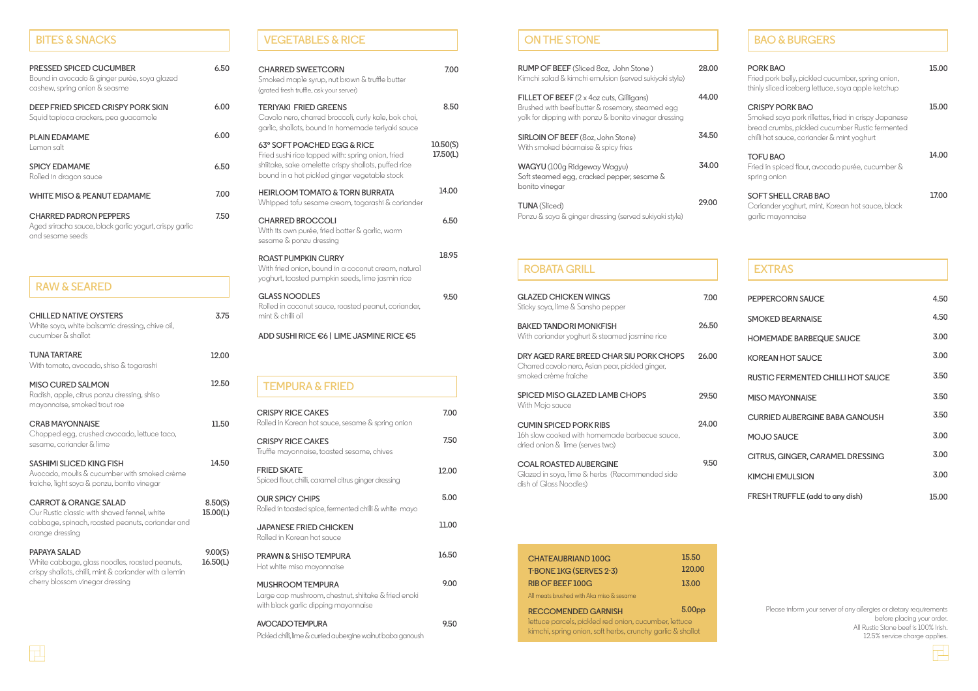| <b>PRESSED SPICED CUCUMBER</b><br>Bound in avocado & ginger purée, soya glazed<br>cashew, spring onion & seasme | 6.50 |
|-----------------------------------------------------------------------------------------------------------------|------|
| DEEP FRIED SPICED CRISPY PORK SKIN<br>Squid tapioca crackers, pea guacamole                                     | 6.00 |
| <b>PLAIN EDAMAME</b><br>Lemon salt                                                                              | 6.00 |
| <b>SPICY EDAMAME</b><br>Rolled in dragon sauce                                                                  | 6.50 |
| <b>WHITE MISO &amp; PEANUT EDAMAME</b>                                                                          | 7.00 |
| <b>CHARRED PADRON PEPPERS</b><br>Aged sriracha sauce, black garlic yogurt, crispy garlic<br>and sesame seeds    | 7.50 |

### **BITES & SNACKS**

| <b>CHILLED NATIVE OYSTERS</b><br>White soya, white balsamic dressing, chive oil,<br>cucumber & shallot                                                  | 3.75                |
|---------------------------------------------------------------------------------------------------------------------------------------------------------|---------------------|
| <b>TUNA TARTARE</b><br>With tomato, avocado, shiso & togarashi                                                                                          | 12.00               |
| <b>MISO CURED SALMON</b><br>Radish, apple, citrus ponzu dressing, shiso<br>mayonnaise, smoked trout roe                                                 | 12.50               |
| <b>CRAB MAYONNAISE</b><br>Chopped egg, crushed avocado, lettuce taco,<br>sesame, coriander & lime                                                       | 11.50               |
| <b>SASHIMI SLICED KING FISH</b><br>Avocado, moulis & cucumber with smoked crème<br>fraiche, light soya & ponzu, bonito vinegar                          | 14.50               |
| <b>CARROT &amp; ORANGE SALAD</b><br>Our Rustic classic with shaved fennel, white<br>cabbage, spinach, roasted peanuts, coriander and<br>orange dressing | 8.50(S)<br>15.00(L) |
| <b>PAPAYA SALAD</b><br>White cabbage, glass noodles, roasted peanuts,<br>crisny shallats, chilli mint & coriander with a lemin                          | 9.00(S)<br>16.50(L) |

crispy shallots, chilli, mint & coriander with a lemin cherry blossom vinegar dressing

| <b>RAW &amp; SEARED</b> |
|-------------------------|
|                         |

**9.00**

**9.50**

Hot white miso mayonnaise

**MUSHROOM TEMPURA**

Large cap mushroom, chestnut, shiitake & fried enoki

with black garlic dipping mayonnaise

**AVOCADO TEMPURA**

Pickled chilli, lime & curried aubergine walnut baba ganoush

| <b>CHARRED SWEETCORN</b><br>Smoked maple syrup, nut brown & truffle butter<br>(grated fresh truffle, ask your server)                                                                     | 7.00                 |
|-------------------------------------------------------------------------------------------------------------------------------------------------------------------------------------------|----------------------|
| <b>TERIYAKI FRIED GREENS</b><br>Cavolo nero, charred broccoli, curly kale, bok choi,<br>garlic, shallots, bound in homemade teriyaki sauce                                                | 8.50                 |
| 63° SOFT POACHED EGG & RICE<br>Fried sushi rice topped with: spring onion, fried<br>shiitake, sake omelette crispy shallots, puffed rice<br>bound in a hot pickled ginger vegetable stock | 10.50(S)<br>17.50(L) |
| <b>HEIRLOOM TOMATO &amp; TORN BURRATA</b><br>Whipped tofu sesame cream, togarashi & coriander                                                                                             | 14.00                |
| <b>CHARRED BROCCOLI</b><br>With its own purée, fried batter & garlic, warm<br>sesame & ponzu dressing                                                                                     | 6.50                 |
| <b>ROAST PUMPKIN CURRY</b><br>With fried onion, bound in a coconut cream, natural<br>yoghurt, toasted pumpkin seeds, lime jasmin rice                                                     | 18.95                |
| <b>GLASS NOODLES</b><br>Rolled in coconut sauce, roasted peanut, coriander,<br>mint & chilli oil                                                                                          | 9.50                 |
| ADD SUSHI RICE €6   LIME JASMINE RICE €5                                                                                                                                                  |                      |
|                                                                                                                                                                                           |                      |
| <b>TEMPURA &amp; FRIED</b>                                                                                                                                                                |                      |
| <b>CRISPY RICE CAKES</b><br>Rolled in Korean hot sauce, sesame & spring onion                                                                                                             | 7.00                 |
| <b>CRISPY RICE CAKES</b><br>Truffle mayonnaise, toasted sesame, chives                                                                                                                    | 7.50                 |
| <b>FRIED SKATE</b><br>Spiced flour, chilli, caramel citrus ginger dressing                                                                                                                | 12.00                |
| <b>OUR SPICY CHIPS</b><br>Rolled in toasted spice, fermented chilli & white mayo                                                                                                          | 5.00                 |
| <b>JAPANESE FRIED CHICKEN</b><br>Rolled in Korean hot sauce                                                                                                                               | 11.00                |
| PRAWN & SHISO TEMPURA                                                                                                                                                                     | 16.50                |

## **VEGETABLES & RICE**

| <b>BAO &amp; BURGERS</b>                                                                                                                                                 |       |
|--------------------------------------------------------------------------------------------------------------------------------------------------------------------------|-------|
| PORK BAO<br>Fried pork belly, pickled cucumber, spring onion,<br>thinly sliced iceberg lettuce, soya apple ketchup                                                       | 15.00 |
| CRISPY PORK BAO<br>Smoked soya pork rillettes, fried in crispy Japanese<br>bread crumbs, pickled cucumber Rustic fermented<br>chilli hot sauce, coriander & mint yoghurt | 15.00 |
| <b>TOFU BAO</b><br>Fried in spiced flour, avocado purée, cucumber &<br>spring onion                                                                                      | 14.00 |
| <b>SOFT SHELL CRAB BAO</b><br>Coriander yoghurt, mint, Korean hot sauce, black<br>garlic mayonnaise                                                                      | 17.00 |

| 4.50  |
|-------|
| 4.50  |
| 3.00  |
| 3.00  |
| 3.50  |
| 3.50  |
| 3.50  |
| 3.00  |
| 3.00  |
| 3.00  |
| 15.00 |
|       |

# **ON THE STONE**

| <b>RUMP OF BEEF</b> (Sliced 8oz, John Stone)<br>Kimchi salad & kimchi emulsion (served sukiyaki style)                                                               | 28.00 |
|----------------------------------------------------------------------------------------------------------------------------------------------------------------------|-------|
| <b>FILLET OF BEEF</b> $(2 \times 4$ oz cuts, Gilligans)<br>Brushed with beef butter & rosemary, steamed egg<br>yolk for dipping with ponzu & bonito vinegar dressing | 44.00 |
| <b>SIRLOIN OF BEEF</b> (8oz, John Stone)<br>With smoked béarnaise & spicy fries                                                                                      | 34.50 |
| WAGYU (100g Ridgeway Wagyu)<br>Soft steamed egg, cracked pepper, sesame &<br>bonito vinegar                                                                          | 34.00 |
| <b>TUNA</b> (Sliced)<br>Ponzu & soya & ginger dressing (served sukiyaki style)                                                                                       | 29.00 |

| <b>GLAZED CHICKEN WINGS</b><br>Sticky soya, lime & Sansho pepper                                                    | 7.00  |
|---------------------------------------------------------------------------------------------------------------------|-------|
| <b>BAKED TANDORI MONKFISH</b><br>With coriander yoghurt & steamed jasmine rice                                      | 26.50 |
| DRY AGED RARE BREED CHAR SIU PORK CHOPS<br>Charred cavolo nero, Asian pear, pickled ginger,<br>smoked crème fraiche | 26.00 |
| SPICED MISO GLAZED LAMB CHOPS<br>With Mojo sauce                                                                    | 29.50 |
| <b>CUMIN SPICED PORK RIBS</b><br>16h slow cooked with homemade barbecue sauce,<br>dried onion & lime (serves two)   | 24.00 |
| <b>COAL ROASTED AUBERGINE</b><br>Glazed in soya, lime & herbs (Recommended side<br>dish of Glass Noodles)           | 9.50  |

| <b>CHATEAUBRIAND 100G</b>                                  | 15.50              |
|------------------------------------------------------------|--------------------|
| T-BONE 1KG (SERVES 2-3)                                    | 120.00             |
| <b>RIB OF BEEF 100G</b>                                    | 13.00              |
| All meats brushed with Aka miso & sesame                   |                    |
| <b>RECCOMENDED GARNISH</b>                                 | 5.00 <sub>pp</sub> |
| lettuce parcels, pickled red onion, cucumber, lettuce      |                    |
| kimchi, spring onion, soft herbs, crunchy garlic & shallot |                    |

#### **ROBATA GRILL**